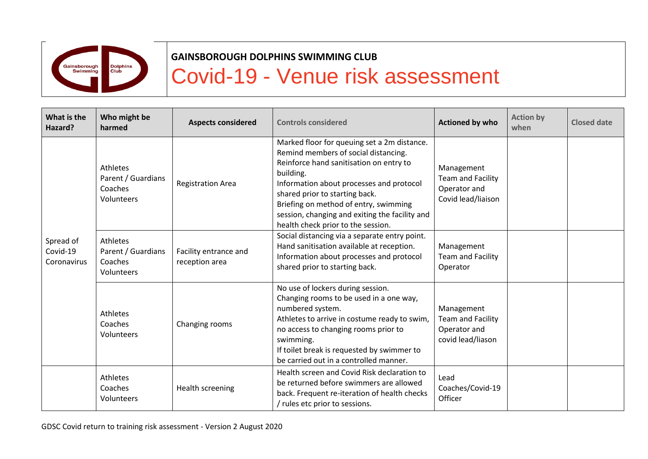

## **GAINSBOROUGH DOLPHINS SWIMMING CLUB**

## Covid-19 - Venue risk assessment

| What is the<br>Hazard?               | Who might be<br>harmed                                  | <b>Aspects considered</b>               | <b>Controls considered</b>                                                                                                                                                                                                                                                                                                                                 | <b>Actioned by who</b>                                                       | <b>Action by</b><br>when | <b>Closed date</b> |
|--------------------------------------|---------------------------------------------------------|-----------------------------------------|------------------------------------------------------------------------------------------------------------------------------------------------------------------------------------------------------------------------------------------------------------------------------------------------------------------------------------------------------------|------------------------------------------------------------------------------|--------------------------|--------------------|
| Spread of<br>Covid-19<br>Coronavirus | Athletes<br>Parent / Guardians<br>Coaches<br>Volunteers | <b>Registration Area</b>                | Marked floor for queuing set a 2m distance.<br>Remind members of social distancing.<br>Reinforce hand sanitisation on entry to<br>building.<br>Information about processes and protocol<br>shared prior to starting back.<br>Briefing on method of entry, swimming<br>session, changing and exiting the facility and<br>health check prior to the session. | Management<br><b>Team and Facility</b><br>Operator and<br>Covid lead/liaison |                          |                    |
|                                      | Athletes<br>Parent / Guardians<br>Coaches<br>Volunteers | Facility entrance and<br>reception area | Social distancing via a separate entry point.<br>Hand sanitisation available at reception.<br>Information about processes and protocol<br>shared prior to starting back.                                                                                                                                                                                   | Management<br><b>Team and Facility</b><br>Operator                           |                          |                    |
|                                      | Athletes<br>Coaches<br>Volunteers                       | Changing rooms                          | No use of lockers during session.<br>Changing rooms to be used in a one way,<br>numbered system.<br>Athletes to arrive in costume ready to swim,<br>no access to changing rooms prior to<br>swimming.<br>If toilet break is requested by swimmer to<br>be carried out in a controlled manner.                                                              | Management<br><b>Team and Facility</b><br>Operator and<br>covid lead/liason  |                          |                    |
|                                      | Athletes<br>Coaches<br>Volunteers                       | Health screening                        | Health screen and Covid Risk declaration to<br>be returned before swimmers are allowed<br>back. Frequent re-iteration of health checks<br>/ rules etc prior to sessions.                                                                                                                                                                                   | Lead<br>Coaches/Covid-19<br>Officer                                          |                          |                    |

GDSC Covid return to training risk assessment - Version 2 August 2020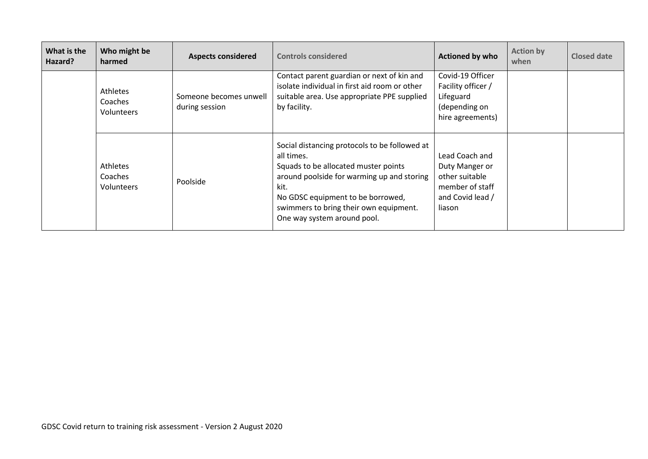| What is the<br>Hazard? | Who might be<br>harmed            | <b>Aspects considered</b>                | <b>Controls considered</b>                                                                                                                                                                                                                                              | <b>Actioned by who</b>                                                                              | <b>Action by</b><br>when | Closed date |
|------------------------|-----------------------------------|------------------------------------------|-------------------------------------------------------------------------------------------------------------------------------------------------------------------------------------------------------------------------------------------------------------------------|-----------------------------------------------------------------------------------------------------|--------------------------|-------------|
|                        | Athletes<br>Coaches<br>Volunteers | Someone becomes unwell<br>during session | Contact parent guardian or next of kin and<br>isolate individual in first aid room or other<br>suitable area. Use appropriate PPE supplied<br>by facility.                                                                                                              | Covid-19 Officer<br>Facility officer /<br>Lifeguard<br>(depending on<br>hire agreements)            |                          |             |
|                        | Athletes<br>Coaches<br>Volunteers | Poolside                                 | Social distancing protocols to be followed at<br>all times.<br>Squads to be allocated muster points<br>around poolside for warming up and storing<br>kit.<br>No GDSC equipment to be borrowed,<br>swimmers to bring their own equipment.<br>One way system around pool. | Lead Coach and<br>Duty Manger or<br>other suitable<br>member of staff<br>and Covid lead /<br>liason |                          |             |